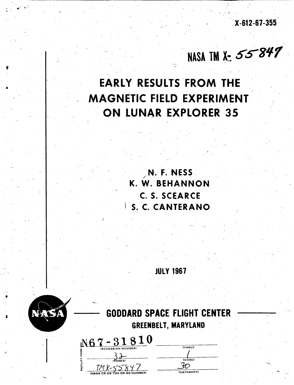**X-612-67-355** 

NASA TM X- 55847

# **EARLY RESULTS FROM THE MAGNETIC FIELD EXPERIMENT ON LUNAR EXPLORER 35**

.

**N. F. NESS K.** W. **BEHANNON C. S. SCFARCE** - **S. C. CANTERANO** 

- **JULY 1967** '



/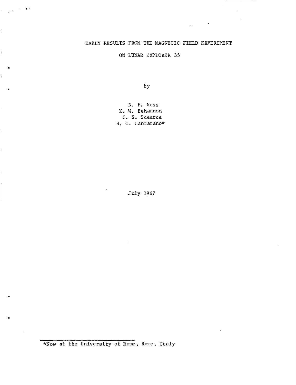# EARLY RESULTS FROM **THE** MAGNETIC FIELD EXPERIMENT

ON LUNAR EXPLORER 35

by

N. F, Ness **K. W.** Behannon C. S, Scearce S. C. Cantarano\*

July 1967

**\*Now at** the University of Rome, Rome, Italy

.

 $\sim$  1  $^{\prime\prime}$ 

Ť.

 $\bar{1}$ 

 $\mathbb{L}$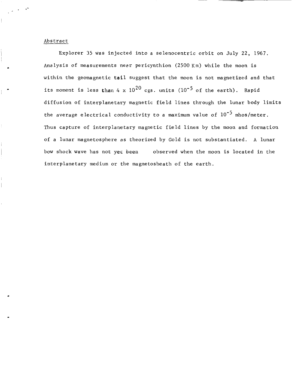#### Abstract

Explorer 35 **was** injected into a selenocentric orbit on July 22, 1967. Analysis of measurements near pericynthion (2500 Km) while the moon is within the geomagnetic **tail** suggest that the moon is not magnetized and that its moment is less than 4  $\mathrm{x}$   $10^{20}$  cgs. units ( $10^{-5}$  of the earth). Rapid diffusion of interplanetary magnetic field lines through the lunar body limits the average electrical conductivity to a maximum value of  $10^{-5}$  mhos/meter. Thus capture of interplanetary magnetic field lines by the moon and formation of a lunar magnetosphere as theorized by Gold is not substantiated. A lunar bow shock wave has not **yes** been observed when the moon is located in the interplanetary medium or the magnetosheath of the earth.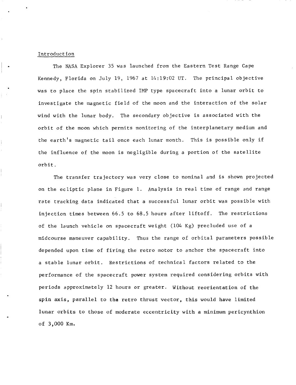### Introduction

The **NASA** Explorer 35 was launched from the Eastern Test Range Cape Kennedy, Florida on July 19, 1967 at 14:19:02 UT. The principal objective was to place the spin stabilized IMP type spacecraft into a lunar orbit to investigate the magnetic field of the moon and the interaction of the solar wind with the lunar body. The secondary objective is associated with the orbit of the moon which permits monitoring of the interplanetary medium and the earth's magnetic tail once each lunar month. This is possible only if the influence of the moon is negligible during a portion of the satellite orbit.

The transfer trajectory was very close to nominal and is shown projected on the ecliptic plane in Figure 1. Analysis in real time of range and range rate tracking data indicated that a successful lunar orbit was possible with injection times between 66.5 to 68.5 hours after liftoff. The restrictions of the launch vehicle on spacecraft weight (104 Kg) precluded use of a midcourse maneuver capability. Thus the range of orbital parameters possible depended upon time of firing the retro motor to anchor the spacecraft into a stable lunar orbit. Restrictions of technical factors related to the performance of the spacecraft power system required considering orbits with periods approximately 12 hours or greater. Without reorientation of the **spin** axis, parallel to the retro thrust vector, this would have limited lunar orbits to those of moderate eccentricity with a minimum pericynthion of 3,000 Km.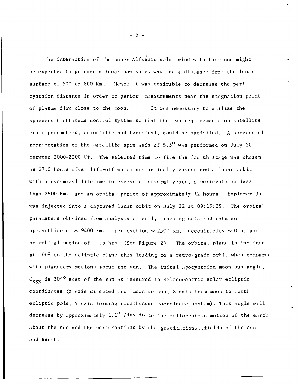*8*  The interaction of the super Alfvenic solar wind with the moon might be expected to produce a lunar bow shock wave at a distance from the lunar surface of 500 to 800 Km. Hence it was desirable to decrease the pericynthion distance in order to perform measurements near the stagnation point of plasma flow close to the moon. It was necessary to utilize the spacecraft attitude control system so that the two requirements on satellite orbit parameters, scientific and technical, could be satisfied. **A** successful reorientation of the satellite spin axis of  $5.5^{\circ}$  was performed on July 20 between 2000-2200 UT. The selected time to fire the fourth stage was chosen as 67.0 hours after lift-off which statistically guaranteed a lunar orbit with a dynamical lifetime in excess of several years, **a** pericynthion less than 2600 Km. and an orbital period of approximately 12 hours. Explorer 35 was injected into a captured lunar orbit on July 22 at 09:19:25. The orbital parameters obtained from analysis of early tracking data indicate an apocynthion of  $\sim$  9400 Km, pericythion  $\sim$  2500 Km, eccentricity  $\sim$  0.6, and an orbital period of 11.5 hrs. (See Figure 2). The orbital plane is inclined at 166O to the ecliptic plane thus leading to **a** retro-grade orbit when compared with planetary motions about the sun. The inital apocynthion-moon-sun angle ,  $\phi_{\text{CCF}}$  is 304<sup>0</sup> east of the sun as measured in selenocentric solar ecliptic coordinates (X axis directed from moon to sun, Z axis from moon to north ecliptic pole, Y axis forming righthanded coordinate system). This angle will decrease by approximately  $1.1^{\circ}$  /day due to the heliocentric motion of the earth about the sun and the perturbations by the gravitationa1,fields of the sun and earth.

-2-

..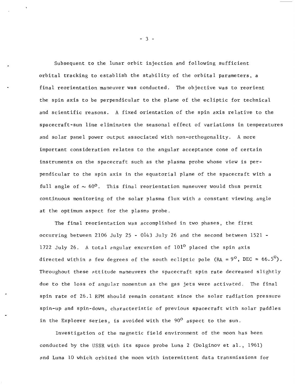Subsequent to the lunar orbit injection and following sufficient orbital tracking to establish the stability of the orbital parameters, a final reorientation maneuver was conducted. The objective was to reorient the spin axis to be perpendicular to the plane of the ecliptic for technical and scientific reasons. **A** fixed orientation of the spin axis relative to the spacecraft-sun line eliminates the seasonal effect of variations in temperatures and solar panel power output associated with non-orthogonality. **A** more important consideration relates to the angular acceptance cone of certain instruments on the spacecraft such as the plasma probe whose view is perpendicular to the spin axis in the equatorial plane of the spacecraft with a full angle of  $\sim 60^{\circ}$ . This final reorientation maneuver would thus permit continuous monitoring of the solar plasma flux with a constant viewing angle at the optimum aspect for the plasme probe.

The final reorientation was accomplished in two phases, the first occurring between 2106 July 25 - *0143* July 26 and the second between 1521 - 1722 July 26. **A** total pngular excursion of 101O placed the spin axis directed within a few degrees of the south ecliptic pole (RA =  $9^{\circ}$ , DEC =  $66.5^{\circ}$ ). Throughout these attitude maneuvers the spacecraft spin rate decreased slightly due to the loss of angular momentum as the gas jets were activated. The final spin rate of 26.1 RPM should remain constant since the solar radiation pressure spin-up and spin-down, characteristic of previous spacecraft with solar paddles in the Explorer series, is avoided with the  $90^{\circ}$  aspect to the sun.

Investigation of the magnetic field environment of the moon has been conducted by the USSR with its space probe Luna 2 (Dolginov et al., 1961) and Luna 10 which orbited the moon with intermittent data transmissions for

*-3-*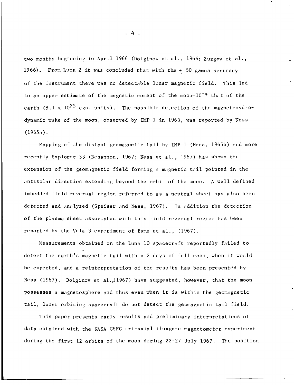two months beginning in April 1966 (Dolginov et al., 1966; Zuzgov et al. , 1966). From Luna 2 it was concluded that with the *2* 50 **gamma** accuracy of the instrument there was no detectable lunar magnetic field. This led to an upper estimate of the magnetic moment of the moon= $10^{-4}$  that of the earth (8.1 x  $10^{25}$  cgs. units). The possible detection of the magnetohydrodynamic wake of the moon, observed by IMP 1 in 1963, was reported by Ness  $(1965a)$ .

Mapping of the distant geomagnetic tail by IMP 1 (Ness, 1965b) and more recently Explorer 33 (Behannon, 1967; Ness et al., 1967) has shown the extension of the geomagnetic field forming a magnetic tail pointed in the pntisolar direction extending beyond the orbit of the moon. A well defined imbedded field reversal region referred to as a neutral sheet has also been detected and anplyzed (Speiser and Ness, 1967). In addition the detection of the plasma sheet associated with this field reversal region has been reported by the Vela 3 experiment of Bame et al., (1967).

Measurements obtained on the Luna 10 spacecraft reportedly failed to detect the earth's magnetic tail within 2 days of full moon, when it would be expected, and a reinterpretation of the results has been presented by Ness (1967). Dolginov et a1.,(1967) have suggested, however, that the moon possesses a magnetosphere and thus even when it is within the geomagnetic tail, lunar orbiting spacecraft do not detect the geomagnetic tail field.

This paper presents early results and preliminary interpretations of data obtained with the NASA-GSFC tri-axial fluxgate magnetometer experiment during the first 12 orbits of the moon during 22-27 July 1967. The position

*-4-*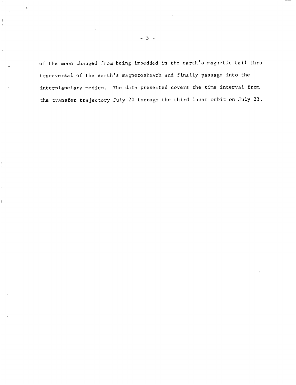of the moon changed from being imbedded in the earth's magnetic tail thru transversal of the earth's magnetosheath and finally passage into the interplanetary medium. The data presented covers the time interval from the transfer trajectory July 20 through the third lunar orbit on July **23.** 

 $\mathop{\parallel}$ 

-5-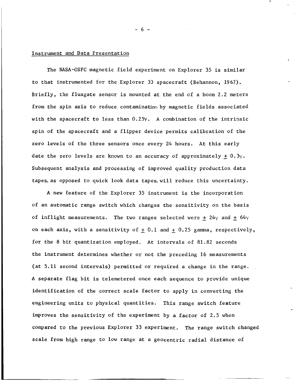## Instrument and Data Presentation

The NASA-GSFC magnetic field experiment on Explorer **35** is similar to that instrumented for the Explorer **33** spacecraft (Behannon, 1967). Briefly, the fluxgate sensor is mounted at the end of a boom 2,2 meters from the spin axis to reduce contamination by magnetic fields associated with the spacecraft to less than 0.25y. A combination of the intrinsic spin of the spacecraft and a flipper device permits calibration of the zero levels of the three sensors once every 24 hours. At this early date the zero levels are known to an accuracy of approximately  $+ 0.3\gamma$ . Subsequent analysis and processing of improved quality production data tapes, as opposed to quick look data tapes, will reduce this uncertainty.

**<sup>A</sup>**new feature of the Explorer **35** instrument is the incorporation of an automatic range switch which changes the sensitivity on the basis of inflight measurements. The two ranges selected were +  $24\gamma$  and  $\pm$  64 $\gamma$ on each axis, with a sensitivity of  $\pm$  0.1 and  $\pm$  0.25 gamma, respectively, for the 8 bit quantization employed. At intervals of 81.82 seconds the instrument determines whether or not the preceding 16 measurements (at 5.11 second intervals) permitted or required a change in the range. **<sup>A</sup>**separate flag bit is telemetered once each sequence to provide unique identification of the correct scale factor to apply in converting the engineering units to physical quantities. This range switch feature improves the sensitivity of the experiment by a factor of 2.5 when compared to the previous Explorer **33** experiment. The range switch changed scale from high range to low range at a geocentric radial distance of

-6-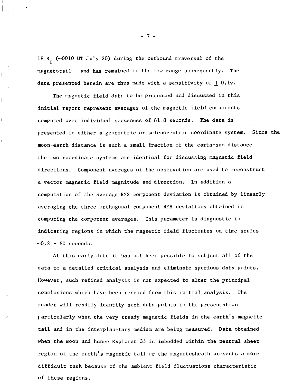18 **R (4010** UT July 20) during the outbound traversal of the **E**  magnetotail and has remained in the low range subsequently. The data presented herein are thus made with a sensitivity of  $\pm$  0.1 $\gamma$ .

 $\bar{1}$ 

ļ.

 $\bar{\bar{z}}$ 

The magnetic field data to be presented and discussed in this initial report represent averages of the magnetic field components computed over individual sequences of 81.8 seconds. The data is presented in either a geocentric or selenocentric coordinate system. Since the moon-earth distance is such a small fraction of the earth-sun distance the two coordinate systems are identical for discussing magnetic field directions. Component averages of the observation are used to reconstruct a vector magnetic field magnitude and direction, In addition a computation of the average **RMS** component deviation is obtained **by** linearly averaging the three orthogonal component RMS deviations obtained in computing the component averages. This parameter is diagnostic in indicating regions in which the magnetic field fluctuates on time scales  $-0.2$  - 80 seconds.

At this early date it has not been possible to subject all of the data to a detailed critical analysis and eliminate spurious data points. However, such refined analysis is not expected to alter the principal conclusions which have been reached from this initial analysis. The reader will readily identify such data points in the presentation particularly when the very steady magnetic fields in the earth's magnetic tail and in the interplanetary medium are being measured. Data obtained when the moon and hence Explorer 35 is imbedded within the neutral sheet region of the earth's magnetic tail or the magnetosheath presents a more difficult task because of the ambient field fluctuations characteristic of these regions,

-7-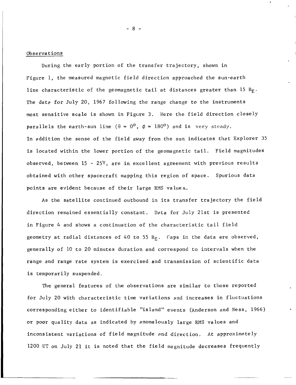Observations

During the early portion of the transfer trajectory, shown in Figure 1, the measured magnetic field direction approached the sun-earth line characteristic of the geomagnetic tail at distances greater than 15  $R<sub>F</sub>$ . The data for July 20, 1967 following the range change to the instruments most sensitive scale is shown in Figure *3.* Here the field direction closely parallels the earth-sun line  $(\theta = 0^0, \phi = 180^0)$  and is very steady. In addition the sense of the field away from the sun indicates that Explorer 35 is located within the lower portion of the geomagnetic tail. Field magnitudes observed, between 15 - 25Y, are in excellent agreement with previous results obtained with other spacecraft mapping this region of space. Spurious data points are evident because of their large RMS values.

**As** the satellite continued outbound in its transfer trajectory the field direction remained essentially constant. Dpta for July 21st is presented in Figure *4* and shows a continuation of the characteristic tail field geometry at radial distances of 40 to 55 R<sub>F</sub>. Caps in the data are observed, generally of 10 to 20 minutes duration and correspond to intervals when the range and range rate system is exercised and transmission of scientific data is temporarily suspended.

The general features of the observations are similar to those reported for July 20 with characteristic time variations and increases in fluctuations corresponding either to identifiable "island" events (Anderson and Ness, 1966) or poor quality data as indicated by anomalously large RMS values and inconsistent variations of field magnitude and direction. At approximately 1200 UT on July 21 it is noted that the field magnitude decreases frequently

*-8-*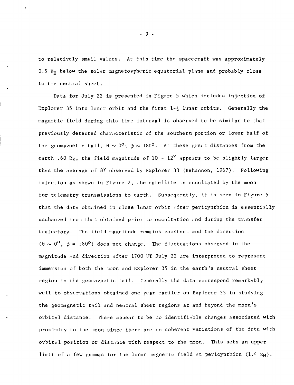to relatively small values. At this time the spacecraft was approximately 0.5  $R<sub>F</sub>$  below the solar magnetospheric equatorial plane and probably close to the neutral sheet,

Data for July 22 is presented in Figure 5 which includes injection of Explorer 35 into lunar orbit and the first 1- $\frac{1}{2}$  lunar orbits. Generally the magnetic field during this time interval is observed to be similar to that previously detected characteristic of the southern portion or lower half of the geomagnetic tail,  $\theta \sim 0^{\circ}$ ;  $\phi \sim 180^{\circ}$ . At these great distances from the earth .60 R<sub>F</sub>, the field magnitude of 10 -  $12^{\gamma}$  appears to be slightly larger than the average of  $8^{\gamma}$  observed by Explorer 33 (Behannon, 1967). Following injection as shown in Figure 2, the satellite is occultated by the moon for telemetry transmissions to earth. Subsequently, it is seen in Figure 5 that the data obtained in close lunar orbit after pericynthion is essentially unchanged from that obtained prior to occultation and during the transfer trajectory. The field magnitude remains constant and the direction ( $\theta \sim 0^{\circ}$ ,  $\phi = 180^{\circ}$ ) does not change. The fluctuations observed in the magnitude and direction after 1700 UT July 22 are interpreted to represent immersion of both the moon and Explorer 35 in the earth's neutral sheet region in the geomagnetic tail. Generally the data correspond remarkably well to observations obtained one year earlier on Explorer *33* in studying the geomagnetic tail and neutral sheet regions at and beyond the moon's orbital distance. There appear to be no identifiable changes associated with proximity to the moon since there are no coherent variations of the data with orbital position or distance with respect to the moon. This sets an upper limit of a few gammas for the lunar magnetic field at pericynthion  $(1.4 R_M)$ .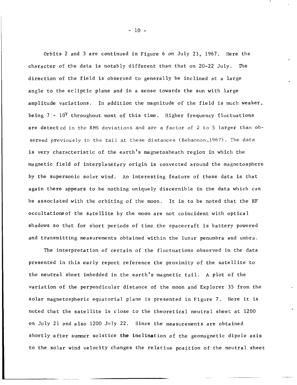Orbits 2 and *3* are continued in Figure 6 on July 23, 1967. Here the character of the data is notably different than that on 20-22 July. The direction of the field is observed to generally be inclined at a large angle to the ecliptic plane and in a sense towards the sun with large amplitude variations. In addition the magnitude of the field is much weaker, being 7 -  $10^{\circ}$  throughout most of this time. Higher frequency fluctuations are detected in the RMS deviations and are a factor of 2 to 5 larger than observed previously in the tail at these distances (Behannon,l967). The data is very characteristic of the earth's magnetosheath region in which the magnetic field of interplanetary origin is convected around the magnetosphere by the supersonic solar wind. An interesting feature of these data is that again there appears to be nothing uniquely discernible in the data which can be associated with the orbiting of the moon. It is to be noted that the RF occultationsof the satellite by the moon are not coincident with optical shadows **SO** that for short periods of time the spacecraft is battery powered and transmitting measurements obtained within the lunar penumbra and umbra.

The interpretation of certain of the fluctuations observed in the data presented in this early report reference the proximity of the satellite to the neutral sheet imbedded in the earth's magnetic tail. **A** plot of the variation of the perpendicular distance of the moon and Explorer 35 from the solar magnetospheric equatorial plane is presented in Figure 7. Here it **is**  noted that the satellite is close to the theoretical neutral sheet at 1200 on July 21 and also  $1200$  July 22. Since the measurements are obtained short y after summer solstice **the** inclination of the geomagnetic dipole axis to the solar wind velocity changes the relative position of the neutral sheet

- 10 -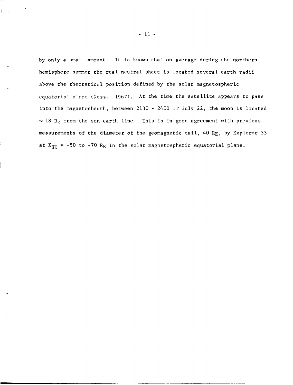by only a small amount. It is known that on average during the northern hemisphere summer the real neutral sheet is located several earth radii above the theoretical position defined by the solar magnetospheric equatorial plane (Ness, 1967). At the time the satellite appears to pass into the magnetosheath, between 2130 - *2400* UT July *22,* the moon is located  $\sim$  18 R<sub>E</sub> from the sun-earth line. This is in good agreement with previous measurements of the diameter of the geomagnetic tail, *40* RE, by Explorer **33**  at  $X_{SE}$  = -50 to -70  $R_E$  in the solar magnetospheric equatorial plane.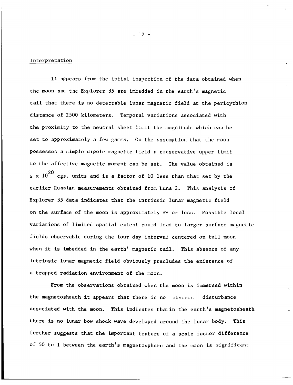## **Interpretation**

It appears from the intial inspection of the data obtained when the moon and the Explorer 35 are imbedded in the earth's magnetic tail that there is no detectable lunar magnetic field at the pericythion distance of 2500 kilometers. Temporal variations associated with the proximity to the neutral sheet limit the magnitude which can be set to approximately a few gamma. On the assumption that the moon possesses a simple dipole magnetic field a conservative upper limit to the affective magnetic moment can be set. The value obtained is  $_4$  **x**  $10^{20}$  cgs. units and is a factor of  $10$  less than that set by the earlier Russian measurements obtained from Luna 2. This analysis of Explorer 35 data indicates that the intrinsic lunar magnetic field on the surface of the moon is approximately 8y or less. Possible local variations of limited spatial extent could lead to larger surface magnetic fields observable during the four day interval centered on full moon when it is imbedded in the earth' magnetic tail. This absence of any intrinsic lunar magnetic field obviously precludes the existence of a trapped radiation environment of the moon.

From the observations obtained when the moon is immersed within the magnetosheath it appears that there is no obvious disturbance associated with the moon. This indicates that in the earth's magnetosheath there is no lunar bow shock wave developed around the lunar body. This further suggests that the important feature of a scale factor difference of 50 to 1 between the earth's magnetosphere and the moon is **significant** 

 $-12 -$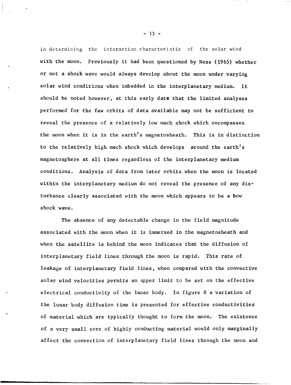in determining the interaction characteristic of the solar wind with the moon. Previously it had been questioned by Ness (1965) whether or not a shock wave would always develop about the moon under varying solar wind conditions when imbedded in the interplanetary medium. It should be noted however, at this early date that the limited analyses performed for the few orbits of data available may not be sufficient to reveal the presence of a relatively low mach shock which encompasses the moon when it is in the earth's magnetosheath. This is in distinction to the relatively high mach shock which develops around the earth's magnetosphere at all times regardless of the interplanetary medium conditions. Analysis of data from later orbits when the moon is located within the interplanetary medium do not reveal the presence of any disturbance clearly associated with the moon which appears to be a bow shock wave

The absence of any detectable change in the field magnitude associated with the moon when it is immersed in the magnetosheath and when the satellite is behind the moon indicates that the diffusion of interplanetary field lines through the moon is rapid. This rate of leakage of interplanetary field lines, when compared with the convective solar wind velocities permits an upper limit to be set on the effective electrical conductivity of the lunar body. In figure 8 a variation of the lunar body diffusion time is presented for effective conductivities of material which are typically thought to form the moon. The existence of a very small core of highly conducting material would only marginally affect the convection of interplanetary field lines through the moon and

- 13 -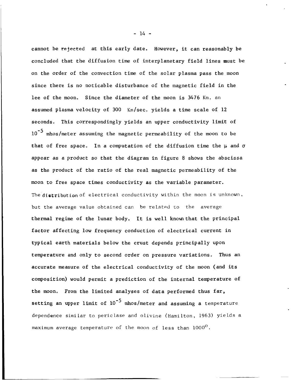cannot be rejected at this early date. However, it can reasonably be concluded that the diffusion time of interplanetary field lines must be on the order of the convection time of the solar plasma pass the moon since there is no noticable disturbance of the magnetic field in the lee of the moon. Since the diameter of the moon is *3476* Km. an assumed plasma velocity of 300 Km/sec. yields a time scale of **12**  seconds, This correspondingly yields an upper conductivity limit of  $10^{-5}$  mhos/meter assuming the magnetic permeability of the moon to be that of free space. In a computation of the diffusion time the  $\mu$  and  $\sigma$ appear as a product so that the diagram in figure 8 shows the abscissa as the product of the ratio of the real magnetic permeability of the moon to free space times conductivity as the variable parameter. The distribution of electrical conductivity within the moon is unknown, but the average value obtained can be related *to* the average thermal regime of the lunar body. It is well knowthat the principal factor affecting low frequency conduction of electrical current in typical earth materials below the crust depends principally upon temperature and only to second order on pressure variations. Thus an accurate measure of the electrical conductivity of the moon (and its composition) would permit a prediction of the internal temperature of the moon. From the limited analyses of data performed thus far, setting an upper limit of  $10^{-5}$  mhos/meter and assuming a temperature dependence similar to periclase and olivine (Hamilton, 1963) yields a maximum average temperature of the moon of less **than** 1000°.

- *14* -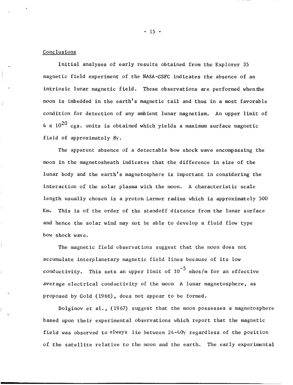## Conclusions

Initial analyses of early results obtained from the Explorer 35 magnetic field experiment of the NASA-GSFC indicates the absence of an intrinsic lunar magnetic field. These observations are performed whenthe moon is imbedded in the earth's magnetic tail and thus in a most favorable condition for detection of any ambient lunar magnetism. An upper limit of  $4 \times 10^{20}$  cgs. units is obtained which yields a maximum surface magnetic field of approximately 8y.

The apparent absence of a detectable bow shock wave encompassing the moon in the magnetosheath indicates that the difference in size of the lunar body and the earth's magnetosphere is important in considering the interaction of the solar plasma with the moon. A characteristic scale length usually chosen is a proton Larmor radius which is approximately 500 Km. This is of the order of the standoff distance from the lunar surface and hence the solar wind may not be able to develop a fluid flow type bow shock wave,

The magnetic field observations suggest that the moon does not accumulate interplanetary magnetic field lines because of its low conductivity. This sets an upper limit of  $10^{-3}$  mhos/m for an effective average electrical conductivity of the moon A lunar magnetosphere, as proposed by Gold (1966), does not appear to be formed.

Dolginov et al., (1967) suggest that the moon possesses a magnetosphere based upon their experimental observations which report that the magnetic field was observed to always lie between *24-40y* regardless of the position of the satellite relative to the moon and the earth. The early experimental

- 15 -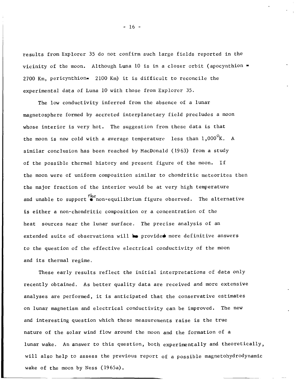results from Explorer 35 do not confirm such large fields reported in the vicinity of the moon. Although Luna  $10$  is in a closer orbit (apocynthion  $\overline{\phantom{a}}$ 2700 Km, pericynthion= 2100 Km) it is difficult to reconcile the experimental data of Luna 10 with those from Explorer 35.

The low conductivity inferred from the absence of a lunar magnetosphere formed by accreted interplanetary field precludes a moon whose interior is very hot. The suggestion from these data is that the moon is now cold with a average temperature less than l,OOO°K, **<sup>A</sup>** similar conclusion has been reached by MacDonald (1963) from a study of the possible thermal history and present figure of the moon. If the moon were of uniform composition similar to chondritic meteorites then the major fraction of the interior would be at very high temperature and unable to support  $\bullet$  non-equilibrium figure observed. The alternative is either a non-chondritic composition or a concentration of the heat sources near the lunar surface, The precise analysis of an extended suite of observations will **Le** provided more definitive answers to the question of the effective electrical conductivity of the moon and its thermal regime.

These early results reflect the initial interpretations of data only recently obtained, **As** better quality data are received and more extensive analyses are performed, it is anticipated that the conservative estimates on lunar magnetism and electrical conductivity can be improved. The new and interesting question which these measurements raise is the true nature of the solar wind flow around the moon and the formation of a lunar wake. An answer to this question, both experimentally and theoretically, will also help to assess the previous report of a possible magnetohydrodynamic wake of the moon by Ness (1965a).

 $- 16 -$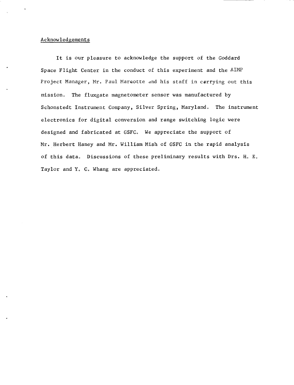## Acknowledgements

It is our pleasure to acknowledge the support of the Goddard Space Flight Center in the conduct of this experiment and the AIMP Project Manager, Mr. Paul Marcotte and his staff in carrying out this mission. The fluxgate magnetometer sensor was manufactured by Schonstedt Instrument Company, Silver Spring, Maryland. The instrument electronics for digital conversion and range switching logic were designed and fabricated at GSFC. We appreciate the support of Mr. Herbert Haney and Mr. William Mish of GSFC in the rapid analysis of this data. Discussions of these preliminary results with Drs. H, E. Taylor and Y. C. Whang are appreciated.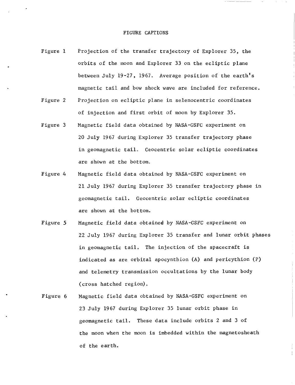- Figure 1 Projection of the transfer trajectory of Explorer 35, the orbits of the moon and Explorer 33 on the ecliptic plane between July 19-27, 1967. Average position of the earth's magnetic tail and bow shock wave are included for reference.
- Figure 2 Projection on ecliptic plane in selenocentric coordinates of injection and first orbit of moon by Explorer 35.
- Figure 3 Magnetic field data obtained by NASA-GSFC experiment on 20 July 1967 during Explorer 35 transfer trajectory phase in geomagnetic tail. Geocentric solar ecliptic coordinates are shown at the bottom,
- Figure *4*  Magnetic field data obtained by NASA-GSFC experiment on 21 July 1967 during Explorer 35 transfer trajectory phase in geomagnetic tail. Geocentric solar ecliptic coordinates are shown at the bottom.
- Figure 5 Magnetic field data obtained by NASA-GSFC experiment on 22 July 1967 during Explorer 35 transfer and lunar orbit phases in geomagnetic tail. The injection of the spacecraft is indicated as are orbital apocynthion **(A)** and pericythion (P) and telemetry transmission occultations by the lunar body (cross hatched region)
- Figure 6 Magnetic field data obtained by NASA-GSFC experiment on 23 July 1967 during Explorer 35 lunar orbit phase in geomagnetic tail. These data include orbits 2 and **3** of the moon when the moon is imbedded within the magnetosheath of the earth.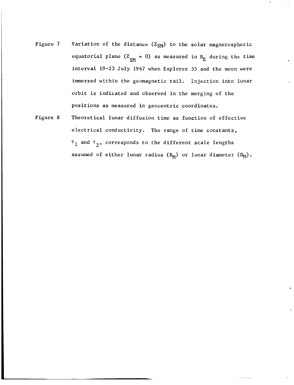- Figure 7 Variation of the distance  $(Z_{SM})$  to the solar magnetospheric equatorial plane ( $Z_{SM} = 0$ ) as measured in  $R_E$  during the time interval 19-23 July 1967 when Explorer 35 and the moon were immersed within the geomagnetic tail. Injection into lunar orbit is indicated and observed in the merging of the positions as measured in geocentric coordinates.
- Figure 8 Theoretical lunar diffusion time as function of effective electrical conductivity. The range of time constants, T1 and **7**  corresponds to the different scale lengths **2'** assumed of either lunar radius  $(R_M)$  or lunar diameter  $(D_M)$ .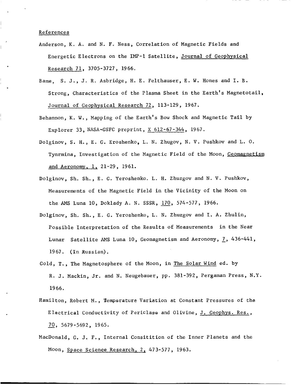## References

- Anderson, K. A. and N. F. Ness, Correlation of Magnetic Fields and Energetic Electrons on the IMP-1 Satellite, Journal of Geophysical Research 71, 3705-3727 , 1966,
- Bame, S. J., J, R. Asbridge, H. E, Felthauser, E. W. Hones and I. B. Strong, Characteristics of the Plasma Sheet in the Earth's Magnetotail, Journal of Geophysical Research 72 , 113-129 , 1967.
- Behannon, K. W., Mapping of the Earth's **Bow** Shock and Magnetic Tail by Explorer 33, NASA-GSFC preprint,  $X$  612-67-344, 1967.
- Dolginov, S. H., E. G. Eroshenko, L. N. Zhugov, **No** V. Pushkov and L. 0. Tynrmina, Investigation of the Magnetic Field of the Moon, Geomagnetism and Aeronomy, 1, 21-29, 1961.
- Dolginov, Sh. Sh., E. G. Yeroshenko. L. H. Zhuzgov and N. V. Pushkov, Measurements of the Magnetic Field in the Vicinity of the Moon on the *AMs* Luna 10, Doklady A. **No** SSSR, *170,* 574-577, 1966.
- Dolginov, She Sh., E, G. Yeroshenko, **L.** N. Zhuzgov and I. A. Zhulin, Possible Interpretation of the Results of Measurements in the Near Lunar Satellite *AMs* Luna 10, Geomagnetism and Aeronomy, *L,* 436-441, 1967. (In Russian).
- Gold, T., The Magnetosphere of the Moon, in The Solar Wind ed. by R. J. Mackin, Jr. and N. Neugebauer, pp. 381-392, Pergaman Press, N.Y. 1966.
- Hamilton, Robert M., Pemperature Variation at Constant Pressures of the Electrical Conductivity of Periclase and Olivine, J. Geophys. Res., 70, 5679-5692, 1965.
- MacDonald, G. J. F., Internal Consitition of the Inner Planets and the Moon, Space Science Research, **2,** 473-577, 1963.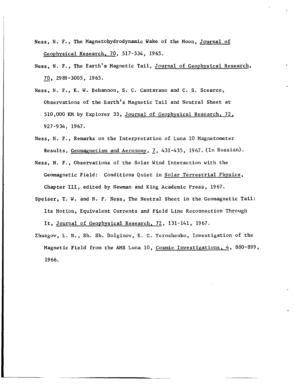- Ness, N. F., The Magnetohydrodynamic Wake of the Moon, Journal of Geophysical Research, 70, 517-534, 1965.
- Ness, N. F., The Earth's Magnetic Tail, <u>Journal of Geophysical Research</u>,<br>70, 2989-3005, 1965.
- Ness, No F., K. W. Behannon, **S.** C. Cantarano and C. **S.** Scearce, Observations of the Earth's Magnetic Tail and Neutral Sheet at 510,000 KM by Explorer 33, Journal of Geophysical Research, 72, 927-934, 1967.
- Ness, N. F., Remarks on the Interpretation of Luna 10 Magnetometer Results, Geomagnetism and Aeronomy, *1,* 431-435, 1967. (In **Russian).**
- Ness, N. F., Observations of the Solar Wind Interaction with the Geomagnetic Field: Conditions Quiet in Solar Terrestrial Physics, Chapter 111, edited by Newman and King Academic Press, 1967.
- Speiser, T. **W.** and N. **F.** Ness, The Neutral Sheet in the Geomagnetic Tail: Its Motion, Equivalent Currents and Field Line Reconnection Through It, Journal of Geophysical Research, 72, 131-141, 1967.
- Zhuzgov, L. N., Sh. Sh. Dolginov, E, G. Yeroshenko, Investigation of the Magnetic Field from the AMs Luna 10, Cosmic Investigations, 4, 880-899, 19 66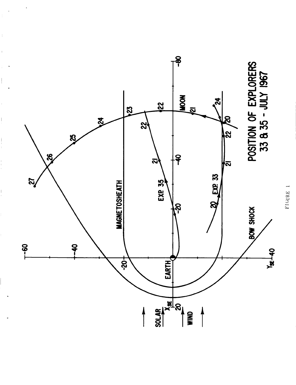

 $\overline{\phantom{a}}$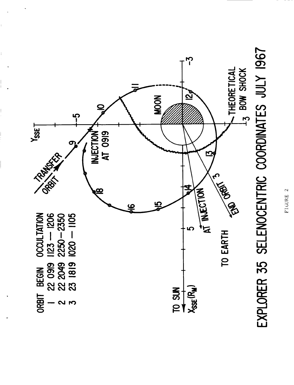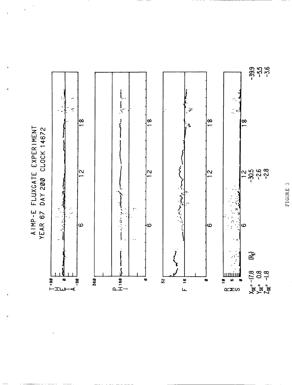AIMP-E FLUXGATE EXPERIMENT<br>YEAR 67 DAY 200 CLOCK 14672

 $\cdot$ 

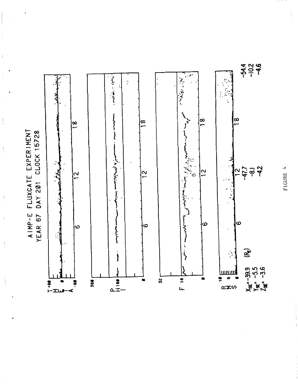



AIMP-E FLUXGATE EXPERIMENT<br>YEAR 67 DAY 201 CLOCK 15728

 $\,$   $\,$ 

 $\bar{1}$ 

 $\frac{1}{2}$ 

 $\overline{\phantom{a}}$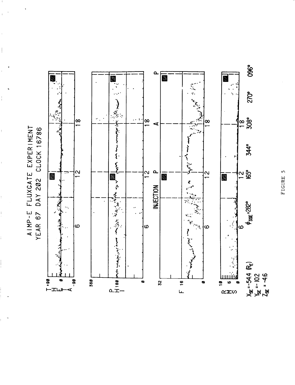AIMP-E FLUXGATE EXPERIMENT<br>YEAR 67 DAY 202 CLOCK 16786 DAY 202 CLOCK 16786

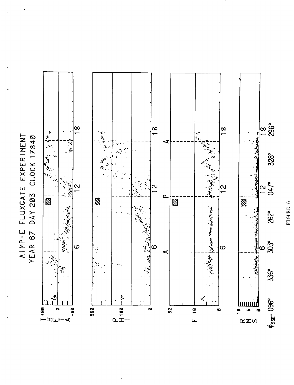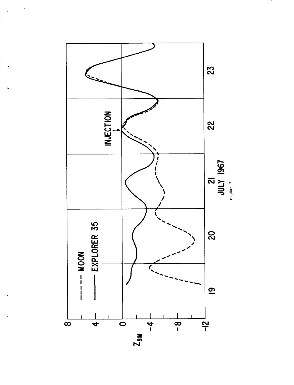